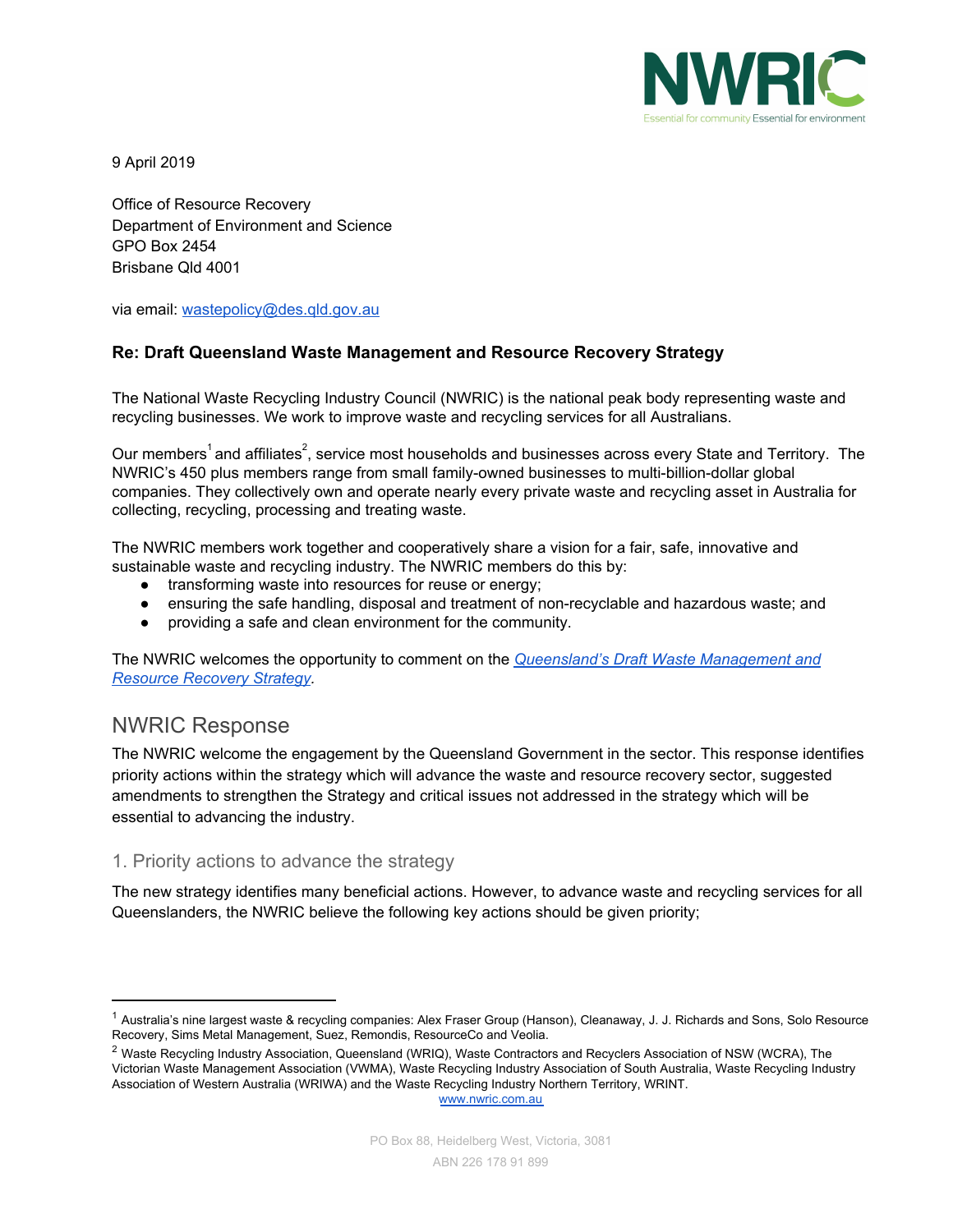

9 April 2019

Office of Resource Recovery Department of Environment and Science GPO Box 2454 Brisbane Qld 4001

via email: [wastepolicy@des.qld.gov.au](mailto:wastepolicy@des.qld.gov.au)

# **Re: Draft Queensland Waste Management and Resource Recovery Strategy**

The National Waste Recycling Industry Council (NWRIC) is the national peak body representing waste and recycling businesses. We work to improve waste and recycling services for all Australians.

Our members<sup>1</sup> and affiliates<sup>2</sup>, service most households and businesses across every State and Territory. The NWRIC's 450 plus members range from small family-owned businesses to multi-billion-dollar global companies. They collectively own and operate nearly every private waste and recycling asset in Australia for collecting, recycling, processing and treating waste.

The NWRIC members work together and cooperatively share a vision for a fair, safe, innovative and sustainable waste and recycling industry. The NWRIC members do this by:

- **●** transforming waste into resources for reuse or energy;
- **●** ensuring the safe handling, disposal and treatment of non-recyclable and hazardous waste; and
- **●** providing a safe and clean environment for the community.

The NWRIC welcomes the opportunity to comment on the *[Queensland's](https://www.getinvolved.qld.gov.au/gi/consultation/5660/view.html) Draft Waste Management and [Resource](https://www.getinvolved.qld.gov.au/gi/consultation/5660/view.html) Recovery Strategy.*

# NWRIC Response

The NWRIC welcome the engagement by the Queensland Government in the sector. This response identifies priority actions within the strategy which will advance the waste and resource recovery sector, suggested amendments to strengthen the Strategy and critical issues not addressed in the strategy which will be essential to advancing the industry.

# 1. Priority actions to advance the strategy

The new strategy identifies many beneficial actions. However, to advance waste and recycling services for all Queenslanders, the NWRIC believe the following key actions should be given priority;

[www.nwric.com.au](http://www.nwric.com.au/)

<sup>&</sup>lt;sup>1</sup> Australia's nine largest waste & recycling companies: Alex Fraser Group (Hanson), Cleanaway, J. J. Richards and Sons, Solo Resource Recovery, Sims Metal Management, Suez, Remondis, ResourceCo and Veolia.

<sup>&</sup>lt;sup>2</sup> Waste Recycling Industry Association, Queensland (WRIQ), Waste Contractors and Recyclers Association of NSW (WCRA), The Victorian Waste Management Association (VWMA), Waste Recycling Industry Association of South Australia, Waste Recycling Industry Association of Western Australia (WRIWA) and the Waste Recycling Industry Northern Territory, WRINT.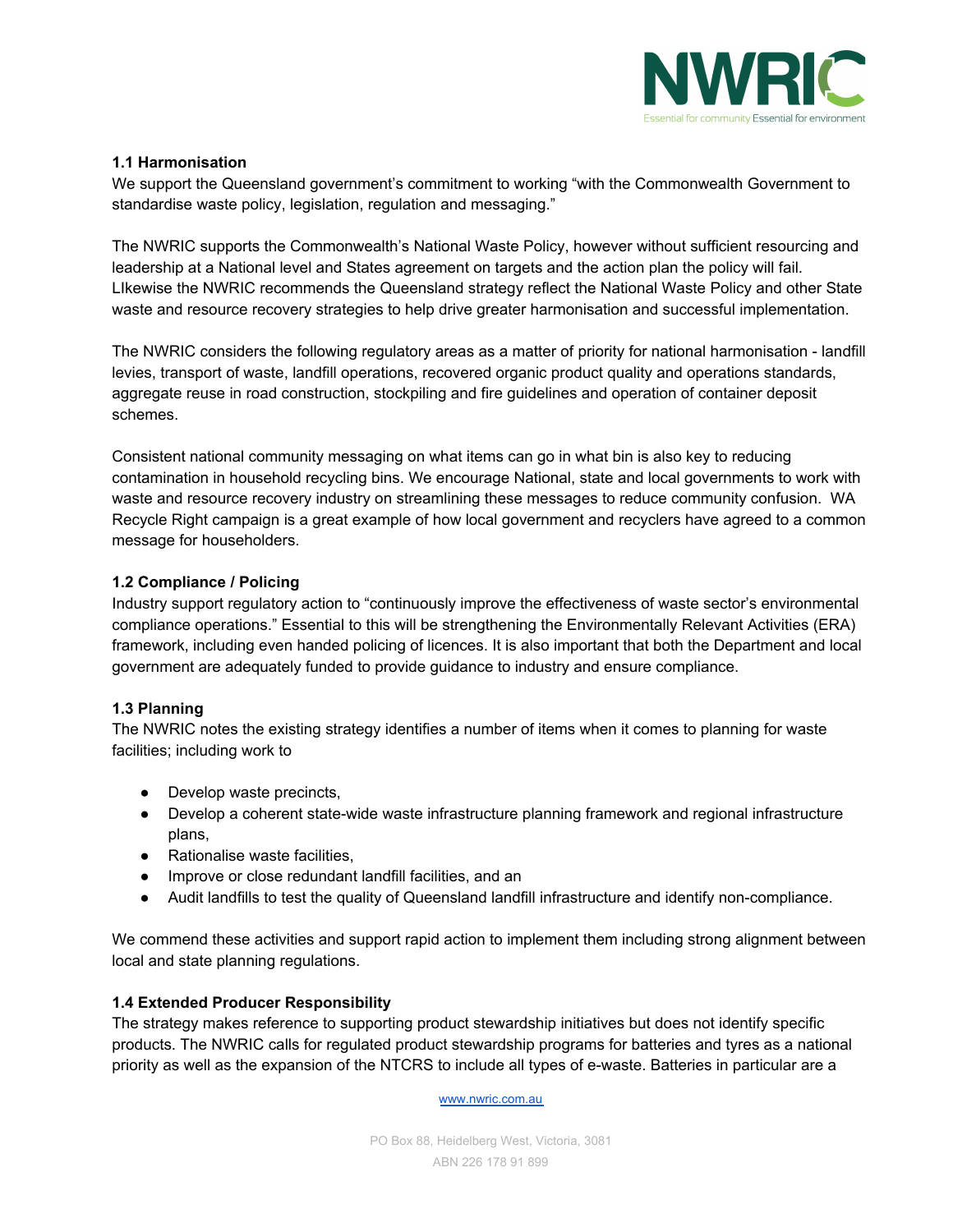

# **1.1 Harmonisation**

We support the Queensland government's commitment to working "with the Commonwealth Government to standardise waste policy, legislation, regulation and messaging."

The NWRIC supports the Commonwealth's National Waste Policy, however without sufficient resourcing and leadership at a National level and States agreement on targets and the action plan the policy will fail. LIkewise the NWRIC recommends the Queensland strategy reflect the National Waste Policy and other State waste and resource recovery strategies to help drive greater harmonisation and successful implementation.

The NWRIC considers the following regulatory areas as a matter of priority for national harmonisation - landfill levies, transport of waste, landfill operations, recovered organic product quality and operations standards, aggregate reuse in road construction, stockpiling and fire guidelines and operation of container deposit schemes.

Consistent national community messaging on what items can go in what bin is also key to reducing contamination in household recycling bins. We encourage National, state and local governments to work with waste and resource recovery industry on streamlining these messages to reduce community confusion. WA Recycle Right campaign is a great example of how local government and recyclers have agreed to a common message for householders.

# **1.2 Compliance / Policing**

Industry support regulatory action to "continuously improve the effectiveness of waste sector's environmental compliance operations." Essential to this will be strengthening the Environmentally Relevant Activities (ERA) framework, including even handed policing of licences. It is also important that both the Department and local government are adequately funded to provide guidance to industry and ensure compliance.

# **1.3 Planning**

The NWRIC notes the existing strategy identifies a number of items when it comes to planning for waste facilities; including work to

- Develop waste precincts,
- Develop a coherent state-wide waste infrastructure planning framework and regional infrastructure plans,
- Rationalise waste facilities,
- Improve or close redundant landfill facilities, and an
- Audit landfills to test the quality of Queensland landfill infrastructure and identify non-compliance.

We commend these activities and support rapid action to implement them including strong alignment between local and state planning regulations.

# **1.4 Extended Producer Responsibility**

The strategy makes reference to supporting product stewardship initiatives but does not identify specific products. The NWRIC calls for regulated product stewardship programs for batteries and tyres as a national priority as well as the expansion of the NTCRS to include all types of e-waste. Batteries in particular are a

[www.nwric.com.au](http://www.nwric.com.au/)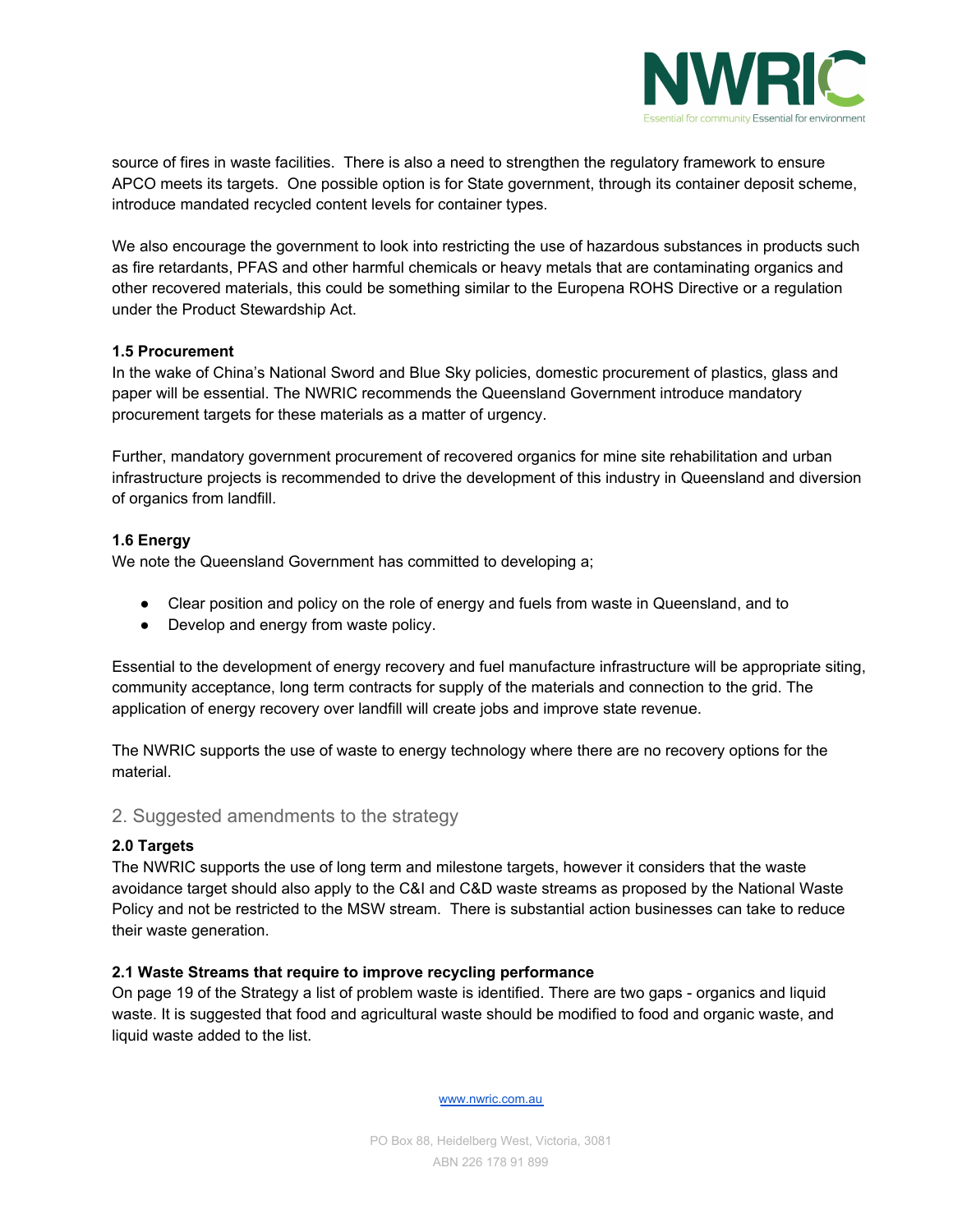

source of fires in waste facilities. There is also a need to strengthen the regulatory framework to ensure APCO meets its targets. One possible option is for State government, through its container deposit scheme, introduce mandated recycled content levels for container types.

We also encourage the government to look into restricting the use of hazardous substances in products such as fire retardants, PFAS and other harmful chemicals or heavy metals that are contaminating organics and other recovered materials, this could be something similar to the Europena ROHS Directive or a regulation under the Product Stewardship Act.

#### **1.5 Procurement**

In the wake of China's National Sword and Blue Sky policies, domestic procurement of plastics, glass and paper will be essential. The NWRIC recommends the Queensland Government introduce mandatory procurement targets for these materials as a matter of urgency.

Further, mandatory government procurement of recovered organics for mine site rehabilitation and urban infrastructure projects is recommended to drive the development of this industry in Queensland and diversion of organics from landfill.

#### **1.6 Energy**

We note the Queensland Government has committed to developing a;

- Clear position and policy on the role of energy and fuels from waste in Queensland, and to
- Develop and energy from waste policy.

Essential to the development of energy recovery and fuel manufacture infrastructure will be appropriate siting, community acceptance, long term contracts for supply of the materials and connection to the grid. The application of energy recovery over landfill will create jobs and improve state revenue.

The NWRIC supports the use of waste to energy technology where there are no recovery options for the material.

# 2. Suggested amendments to the strategy

# **2.0 Targets**

The NWRIC supports the use of long term and milestone targets, however it considers that the waste avoidance target should also apply to the C&I and C&D waste streams as proposed by the National Waste Policy and not be restricted to the MSW stream. There is substantial action businesses can take to reduce their waste generation.

#### **2.1 Waste Streams that require to improve recycling performance**

On page 19 of the Strategy a list of problem waste is identified. There are two gaps - organics and liquid waste. It is suggested that food and agricultural waste should be modified to food and organic waste, and liquid waste added to the list.

[www.nwric.com.au](http://www.nwric.com.au/)

PO Box 88, Heidelberg West, Victoria, 3081 ABN 226 178 91 899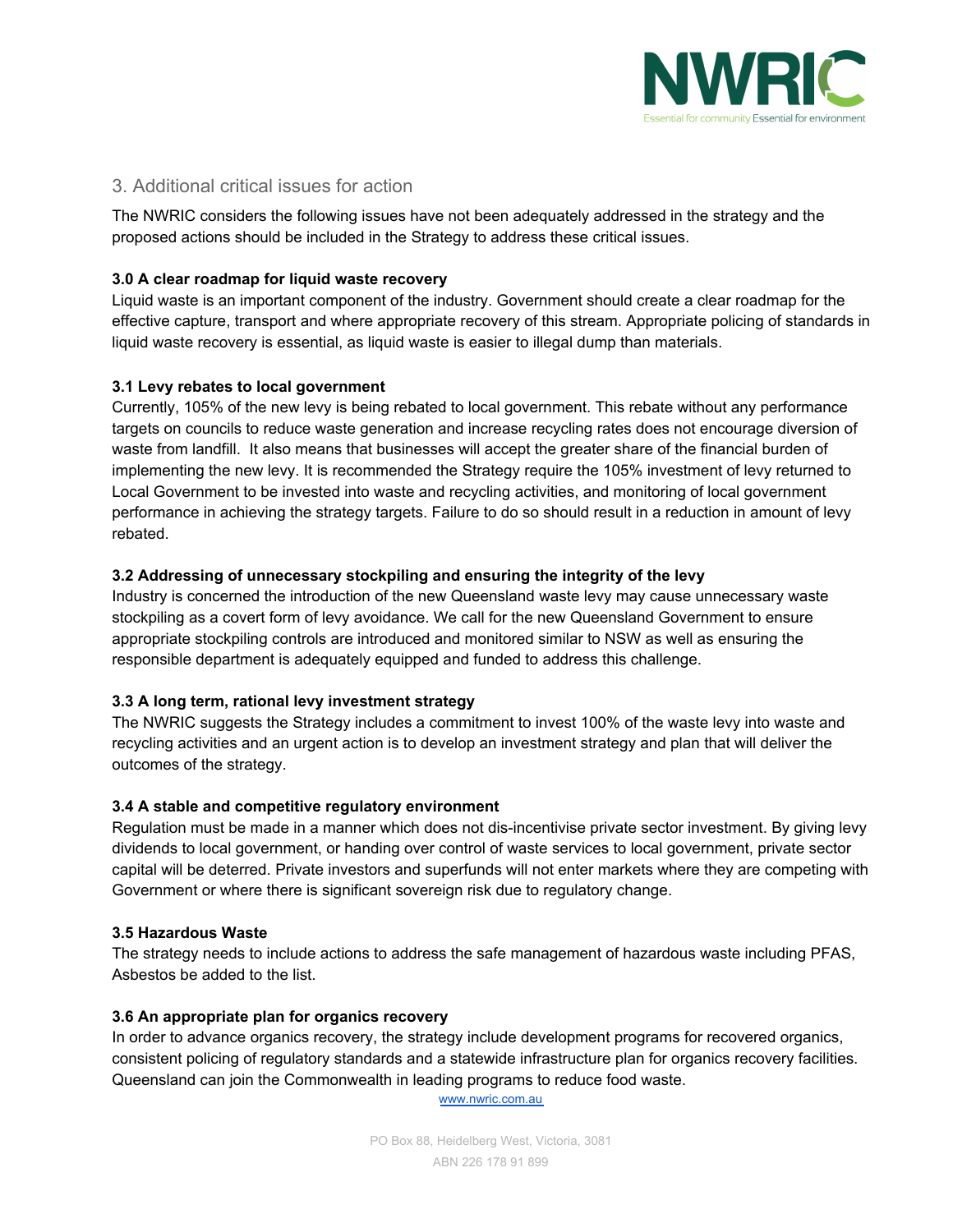

# 3. Additional critical issues for action

The NWRIC considers the following issues have not been adequately addressed in the strategy and the proposed actions should be included in the Strategy to address these critical issues.

# **3.0 A clear roadmap for liquid waste recovery**

Liquid waste is an important component of the industry. Government should create a clear roadmap for the effective capture, transport and where appropriate recovery of this stream. Appropriate policing of standards in liquid waste recovery is essential, as liquid waste is easier to illegal dump than materials.

# **3.1 Levy rebates to local government**

Currently, 105% of the new levy is being rebated to local government. This rebate without any performance targets on councils to reduce waste generation and increase recycling rates does not encourage diversion of waste from landfill. It also means that businesses will accept the greater share of the financial burden of implementing the new levy. It is recommended the Strategy require the 105% investment of levy returned to Local Government to be invested into waste and recycling activities, and monitoring of local government performance in achieving the strategy targets. Failure to do so should result in a reduction in amount of levy rebated.

# **3.2 Addressing of unnecessary stockpiling and ensuring the integrity of the levy**

Industry is concerned the introduction of the new Queensland waste levy may cause unnecessary waste stockpiling as a covert form of levy avoidance. We call for the new Queensland Government to ensure appropriate stockpiling controls are introduced and monitored similar to NSW as well as ensuring the responsible department is adequately equipped and funded to address this challenge.

# **3.3 A long term, rational levy investment strategy**

The NWRIC suggests the Strategy includes a commitment to invest 100% of the waste levy into waste and recycling activities and an urgent action is to develop an investment strategy and plan that will deliver the outcomes of the strategy.

# **3.4 A stable and competitive regulatory environment**

Regulation must be made in a manner which does not dis-incentivise private sector investment. By giving levy dividends to local government, or handing over control of waste services to local government, private sector capital will be deterred. Private investors and superfunds will not enter markets where they are competing with Government or where there is significant sovereign risk due to regulatory change.

# **3.5 Hazardous Waste**

The strategy needs to include actions to address the safe management of hazardous waste including PFAS, Asbestos be added to the list.

# **3.6 An appropriate plan for organics recovery**

In order to advance organics recovery, the strategy include development programs for recovered organics, consistent policing of regulatory standards and a statewide infrastructure plan for organics recovery facilities. Queensland can join the Commonwealth in leading programs to reduce food waste.

[www.nwric.com.au](http://www.nwric.com.au/)